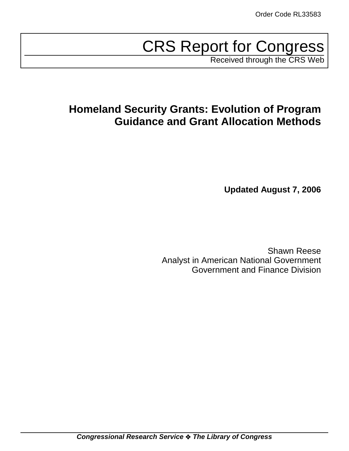# CRS Report for Congress

Received through the CRS Web

# **Homeland Security Grants: Evolution of Program Guidance and Grant Allocation Methods**

**Updated August 7, 2006**

Shawn Reese Analyst in American National Government Government and Finance Division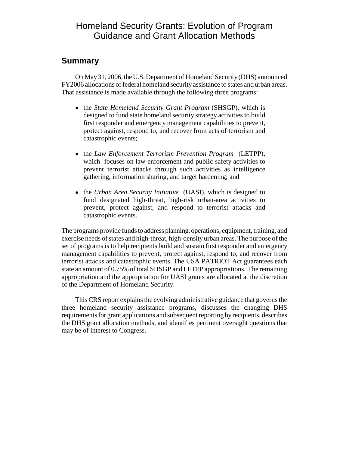### Homeland Security Grants: Evolution of Program Guidance and Grant Allocation Methods

#### **Summary**

On May 31, 2006, the U.S. Department of Homeland Security (DHS) announced FY2006 allocations of federal homeland security assistance to states and urban areas. That assistance is made available through the following three programs:

- ! the *State Homeland Security Grant Program* (SHSGP), which is designed to fund state homeland security strategy activities to build first responder and emergency management capabilities to prevent, protect against, respond to, and recover from acts of terrorism and catastrophic events;
- ! the *Law Enforcement Terrorism Prevention Program* (LETPP), which focuses on law enforcement and public safety activities to prevent terrorist attacks through such activities as intelligence gathering, information sharing, and target hardening; and
- ! the *Urban Area Security Initiative* (UASI), which is designed to fund designated high-threat, high-risk urban-area activities to prevent, protect against, and respond to terrorist attacks and catastrophic events.

The programs provide funds to address planning, operations, equipment, training, and exercise needs of states and high-threat, high-density urban areas. The purpose of the set of programs is to help recipients build and sustain first responder and emergency management capabilities to prevent, protect against, respond to, and recover from terrorist attacks and catastrophic events. The USA PATRIOT Act guarantees each state an amount of 0.75% of total SHSGP and LETPP appropriations. The remaining appropriation and the appropriation for UASI grants are allocated at the discretion of the Department of Homeland Security.

This CRS report explains the evolving administrative guidance that governs the three homeland security assistance programs, discusses the changing DHS requirements for grant applications and subsequent reporting by recipients, describes the DHS grant allocation methods, and identifies pertinent oversight questions that may be of interest to Congress.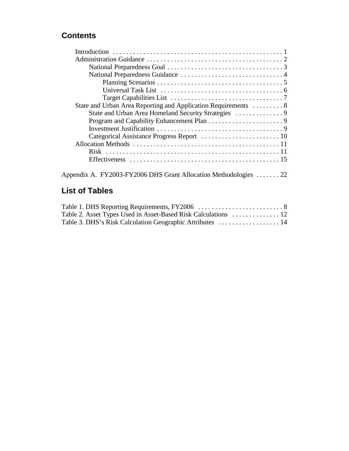### **Contents**

| State and Urban Area Reporting and Application Requirements  8 |  |
|----------------------------------------------------------------|--|
|                                                                |  |
|                                                                |  |
|                                                                |  |
|                                                                |  |
|                                                                |  |
|                                                                |  |
|                                                                |  |

### **List of Tables**

| Table 3. DHS's Risk Calculation Geographic Attributes  14 |  |
|-----------------------------------------------------------|--|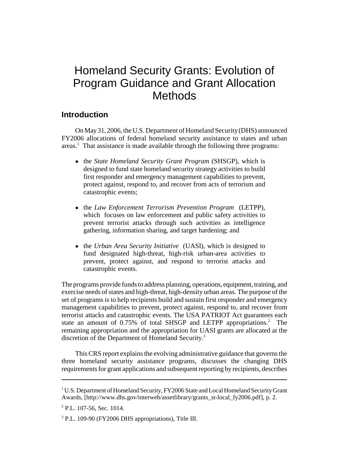# Homeland Security Grants: Evolution of Program Guidance and Grant Allocation **Methods**

#### **Introduction**

On May 31, 2006, the U.S. Department of Homeland Security (DHS) announced FY2006 allocations of federal homeland security assistance to states and urban areas.<sup>1</sup> That assistance is made available through the following three programs:

- ! the *State Homeland Security Grant Program* (SHSGP), which is designed to fund state homeland security strategy activities to build first responder and emergency management capabilities to prevent, protect against, respond to, and recover from acts of terrorism and catastrophic events;
- ! the *Law Enforcement Terrorism Prevention Program* (LETPP), which focuses on law enforcement and public safety activities to prevent terrorist attacks through such activities as intelligence gathering, information sharing, and target hardening; and
- ! the *Urban Area Security Initiative* (UASI), which is designed to fund designated high-threat, high-risk urban-area activities to prevent, protect against, and respond to terrorist attacks and catastrophic events.

The programs provide funds to address planning, operations, equipment, training, and exercise needs of states and high-threat, high-density urban areas. The purpose of the set of programs is to help recipients build and sustain first responder and emergency management capabilities to prevent, protect against, respond to, and recover from terrorist attacks and catastrophic events. The USA PATRIOT Act guarantees each state an amount of 0.75% of total SHSGP and LETPP appropriations.<sup>2</sup> The remaining appropriation and the appropriation for UASI grants are allocated at the discretion of the Department of Homeland Security.<sup>3</sup>

This CRS report explains the evolving administrative guidance that governs the three homeland security assistance programs, discusses the changing DHS requirements for grant applications and subsequent reporting by recipients, describes

<sup>&</sup>lt;sup>1</sup> U.S. Department of Homeland Security, FY2006 State and Local Homeland Security Grant Awards, [http://www.dhs.gov/interweb/assetlibrary/grants\_st-local\_fy2006.pdf], p. 2.

<sup>&</sup>lt;sup>2</sup> P.L. 107-56, Sec. 1014.

<sup>&</sup>lt;sup>3</sup> P.L. 109-90 (FY2006 DHS appropriations), Title III.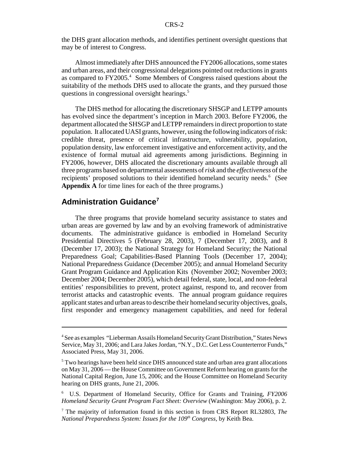the DHS grant allocation methods, and identifies pertinent oversight questions that may be of interest to Congress.

Almost immediately after DHS announced the FY2006 allocations, some states and urban areas, and their congressional delegations pointed out reductions in grants as compared to FY2005.<sup>4</sup> Some Members of Congress raised questions about the suitability of the methods DHS used to allocate the grants, and they pursued those questions in congressional oversight hearings.<sup>5</sup>

The DHS method for allocating the discretionary SHSGP and LETPP amounts has evolved since the department's inception in March 2003. Before FY2006, the department allocated the SHSGP and LETPP remainders in direct proportion to state population. It allocated UASI grants, however, using the following indicators of risk: credible threat, presence of critical infrastructure, vulnerability, population, population density, law enforcement investigative and enforcement activity, and the existence of formal mutual aid agreements among jurisdictions. Beginning in FY2006, however, DHS allocated the discretionary amounts available through all three programs based on departmental assessments of *risk* and the *effectiveness* of the recipients' proposed solutions to their identified homeland security needs.<sup>6</sup> (See **Appendix A** for time lines for each of the three programs.)

#### **Administration Guidance<sup>7</sup>**

The three programs that provide homeland security assistance to states and urban areas are governed by law and by an evolving framework of administrative documents. The administrative guidance is embodied in Homeland Security Presidential Directives 5 (February 28, 2003), 7 (December 17, 2003), and 8 (December 17, 2003); the National Strategy for Homeland Security; the National Preparedness Goal; Capabilities-Based Planning Tools (December 17, 2004); National Preparedness Guidance (December 2005); and annual Homeland Security Grant Program Guidance and Application Kits (November 2002; November 2003; December 2004; December 2005), which detail federal, state, local, and non-federal entities' responsibilities to prevent, protect against, respond to, and recover from terrorist attacks and catastrophic events. The annual program guidance requires applicant states and urban areas to describe their homeland security objectives, goals, first responder and emergency management capabilities, and need for federal

<sup>4</sup> See as examples "Lieberman Assails Homeland Security Grant Distribution," States News Service, May 31, 2006; and Lara Jakes Jordan, "N.Y., D.C. Get Less Counterterror Funds," Associated Press, May 31, 2006.

<sup>&</sup>lt;sup>5</sup> Two hearings have been held since DHS announced state and urban area grant allocations on May 31, 2006 — the House Committee on Government Reform hearing on grants for the National Capital Region, June 15, 2006; and the House Committee on Homeland Security hearing on DHS grants, June 21, 2006.

<sup>6</sup> U.S. Department of Homeland Security, Office for Grants and Training, *FY2006 Homeland Security Grant Program Fact Sheet: Overview* (Washington: May 2006), p. 2.

<sup>7</sup> The majority of information found in this section is from CRS Report RL32803, *The National Preparedness System: Issues for the 109<sup>th</sup> Congress, by Keith Bea.*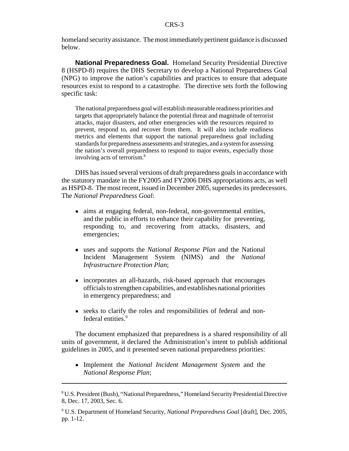homeland security assistance. The most immediately pertinent guidance is discussed below.

**National Preparedness Goal.** Homeland Security Presidential Directive 8 (HSPD-8) requires the DHS Secretary to develop a National Preparedness Goal (NPG) to improve the nation's capabilities and practices to ensure that adequate resources exist to respond to a catastrophe. The directive sets forth the following specific task:

The national preparedness goal will establish measurable readiness priorities and targets that appropriately balance the potential threat and magnitude of terrorist attacks, major disasters, and other emergencies with the resources required to prevent, respond to, and recover from them. It will also include readiness metrics and elements that support the national preparedness goal including standards for preparedness assessments and strategies, and a system for assessing the nation's overall preparedness to respond to major events, especially those involving acts of terrorism.8

DHS has issued several versions of draft preparedness goals in accordance with the statutory mandate in the FY2005 and FY2006 DHS appropriations acts, as well as HSPD-8. The most recent, issued in December 2005, supersedes its predecessors. The *National Preparedness Goal*:

- aims at engaging federal, non-federal, non-governmental entities, and the public in efforts to enhance their capability for preventing, responding to, and recovering from attacks, disasters, and emergencies;
- ! uses and supports the *National Response Plan* and the National Incident Management System (NIMS) and the *National Infrastructure Protection Plan*;
- incorporates an all-hazards, risk-based approach that encourages officials to strengthen capabilities, and establishes national priorities in emergency preparedness; and
- seeks to clarify the roles and responsibilities of federal and nonfederal entities.<sup>9</sup>

The document emphasized that preparedness is a shared responsibility of all units of government, it declared the Administration's intent to publish additional guidelines in 2005, and it presented seven national preparedness priorities:

! Implement the *National Incident Management System* and the *National Response Plan*;

<sup>&</sup>lt;sup>8</sup> U.S. President (Bush), "National Preparedness," Homeland Security Presidential Directive 8, Dec. 17, 2003, Sec. 6.

<sup>9</sup> U.S. Department of Homeland Security, *National Preparedness Goal* [draft], Dec. 2005, pp. 1-12.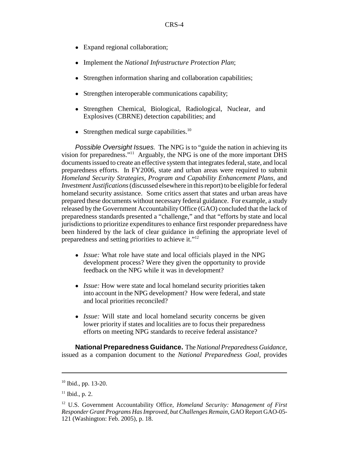- Expand regional collaboration;
- ! Implement the *National Infrastructure Protection Plan*;
- Strengthen information sharing and collaboration capabilities;
- Strengthen interoperable communications capability;
- Strengthen Chemical, Biological, Radiological, Nuclear, and Explosives (CBRNE) detection capabilities; and
- Strengthen medical surge capabilities. $10$

*Possible Oversight Issues.* The NPG is to "guide the nation in achieving its vision for preparedness."11 Arguably, the NPG is one of the more important DHS documents issued to create an effective system that integrates federal, state, and local preparedness efforts. In FY2006, state and urban areas were required to submit *Homeland Security Strategies*, *Program and Capability Enhancement Plans*, and *Investment Justifications* (discussed elsewhere in this report) to be eligible for federal homeland security assistance. Some critics assert that states and urban areas have prepared these documents without necessary federal guidance. For example, a study released by the Government Accountability Office (GAO) concluded that the lack of preparedness standards presented a "challenge," and that "efforts by state and local jurisdictions to prioritize expenditures to enhance first responder preparedness have been hindered by the lack of clear guidance in defining the appropriate level of preparedness and setting priorities to achieve it."12

- ! *Issue:* What role have state and local officials played in the NPG development process? Were they given the opportunity to provide feedback on the NPG while it was in development?
- *Issue:* How were state and local homeland security priorities taken into account in the NPG development? How were federal, and state and local priorities reconciled?
- *Issue:* Will state and local homeland security concerns be given lower priority if states and localities are to focus their preparedness efforts on meeting NPG standards to receive federal assistance?

**National Preparedness Guidance.** The *National Preparedness Guidance,* issued as a companion document to the *National Preparedness Goal,* provides

<sup>10</sup> Ibid., pp. 13-20.

 $11$  Ibid., p. 2.

<sup>12</sup> U.S. Government Accountability Office, *Homeland Security: Management of First Responder Grant Programs Has Improved, but Challenges Remain*, GAO Report GAO-05- 121 (Washington: Feb. 2005), p. 18.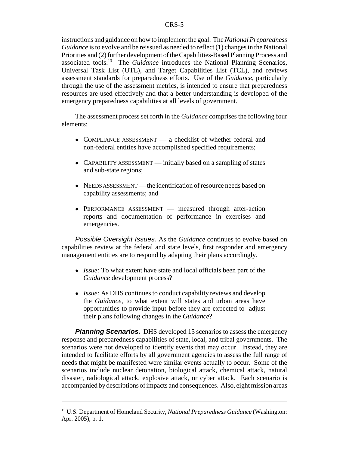instructions and guidance on how to implement the goal. The *National Preparedness Guidance* is to evolve and be reissued as needed to reflect (1) changes in the National Priorities and (2) further development of the Capabilities-Based Planning Process and associated tools.13 The *Guidance* introduces the National Planning Scenarios, Universal Task List (UTL), and Target Capabilities List (TCL), and reviews assessment standards for preparedness efforts. Use of the *Guidance*, particularly through the use of the assessment metrics, is intended to ensure that preparedness resources are used effectively and that a better understanding is developed of the emergency preparedness capabilities at all levels of government.

The assessment process set forth in the *Guidance* comprises the following four elements:

- COMPLIANCE ASSESSMENT a checklist of whether federal and non-federal entities have accomplished specified requirements;
- CAPABILITY ASSESSMENT initially based on a sampling of states and sub-state regions;
- NEEDS ASSESSMENT the identification of resource needs based on capability assessments; and
- PERFORMANCE ASSESSMENT measured through after-action reports and documentation of performance in exercises and emergencies.

*Possible Oversight Issues.* As the *Guidance* continues to evolve based on capabilities review at the federal and state levels, first responder and emergency management entities are to respond by adapting their plans accordingly.

- *Issue:* To what extent have state and local officials been part of the *Guidance* development process?
- *Issue:* As DHS continues to conduct capability reviews and develop the *Guidance*, to what extent will states and urban areas have opportunities to provide input before they are expected to adjust their plans following changes in the *Guidance*?

**Planning Scenarios.** DHS developed 15 scenarios to assess the emergency response and preparedness capabilities of state, local, and tribal governments. The scenarios were not developed to identify events that may occur. Instead, they are intended to facilitate efforts by all government agencies to assess the full range of needs that might be manifested were similar events actually to occur. Some of the scenarios include nuclear detonation, biological attack, chemical attack, natural disaster, radiological attack, explosive attack, or cyber attack. Each scenario is accompanied by descriptions of impacts and consequences. Also, eight mission areas

<sup>13</sup> U.S. Department of Homeland Security, *National Preparedness Guidance* (Washington: Apr. 2005), p. 1.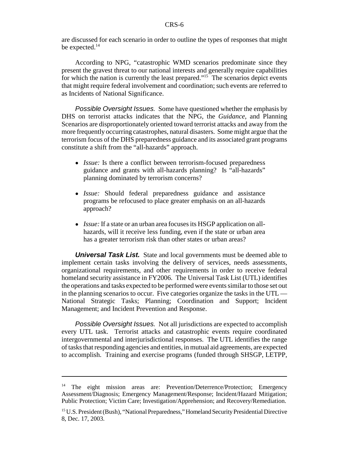are discussed for each scenario in order to outline the types of responses that might be expected.<sup>14</sup>

According to NPG, "catastrophic WMD scenarios predominate since they present the gravest threat to our national interests and generally require capabilities for which the nation is currently the least prepared."<sup>15</sup> The scenarios depict events that might require federal involvement and coordination; such events are referred to as Incidents of National Significance.

*Possible Oversight Issues.* Some have questioned whether the emphasis by DHS on terrorist attacks indicates that the NPG, the *Guidance*, and Planning Scenarios are disproportionately oriented toward terrorist attacks and away from the more frequently occurring catastrophes, natural disasters. Some might argue that the terrorism focus of the DHS preparedness guidance and its associated grant programs constitute a shift from the "all-hazards" approach.

- *Issue:* Is there a conflict between terrorism-focused preparedness guidance and grants with all-hazards planning? Is "all-hazards" planning dominated by terrorism concerns?
- ! *Issue:* Should federal preparedness guidance and assistance programs be refocused to place greater emphasis on an all-hazards approach?
- ! *Issue:* If a state or an urban area focuses its HSGP application on allhazards, will it receive less funding, even if the state or urban area has a greater terrorism risk than other states or urban areas?

**Universal Task List.** State and local governments must be deemed able to implement certain tasks involving the delivery of services, needs assessments, organizational requirements, and other requirements in order to receive federal homeland security assistance in FY2006. The Universal Task List (UTL) identifies the operations and tasks expected to be performed were events similar to those set out in the planning scenarios to occur. Five categories organize the tasks in the UTL — National Strategic Tasks; Planning; Coordination and Support; Incident Management; and Incident Prevention and Response.

*Possible Oversight Issues.* Not all jurisdictions are expected to accomplish every UTL task. Terrorist attacks and catastrophic events require coordinated intergovernmental and interjurisdictional responses. The UTL identifies the range of tasks that responding agencies and entities, in mutual aid agreements, are expected to accomplish. Training and exercise programs (funded through SHSGP, LETPP,

<sup>&</sup>lt;sup>14</sup> The eight mission areas are: Prevention/Deterrence/Protection; Emergency Assessment/Diagnosis; Emergency Management/Response; Incident/Hazard Mitigation; Public Protection; Victim Care; Investigation/Apprehension; and Recovery/Remediation.

<sup>&</sup>lt;sup>15</sup> U.S. President (Bush), "National Preparedness," Homeland Security Presidential Directive 8, Dec. 17, 2003.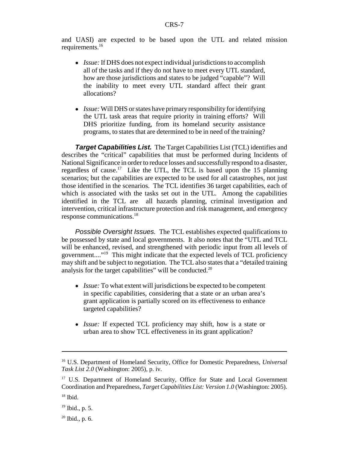and UASI) are expected to be based upon the UTL and related mission requirements.16

- *Issue:* If DHS does not expect individual jurisdictions to accomplish all of the tasks and if they do not have to meet every UTL standard, how are those jurisdictions and states to be judged "capable"? Will the inability to meet every UTL standard affect their grant allocations?
- *Issue:* Will DHS or states have primary responsibility for identifying the UTL task areas that require priority in training efforts? Will DHS prioritize funding, from its homeland security assistance programs, to states that are determined to be in need of the training?

**Target Capabilities List.** The Target Capabilities List (TCL) identifies and describes the "critical" capabilities that must be performed during Incidents of National Significance in order to reduce losses and successfully respond to a disaster, regardless of cause.<sup>17</sup> Like the UTL, the TCL is based upon the 15 planning scenarios; but the capabilities are expected to be used for all catastrophes, not just those identified in the scenarios. The TCL identifies 36 target capabilities, each of which is associated with the tasks set out in the UTL. Among the capabilities identified in the TCL are all hazards planning, criminal investigation and intervention, critical infrastructure protection and risk management, and emergency response communications.18

*Possible Oversight Issues.* The TCL establishes expected qualifications to be possessed by state and local governments. It also notes that the "UTL and TCL will be enhanced, revised, and strengthened with periodic input from all levels of government...."19 This might indicate that the expected levels of TCL proficiency may shift and be subject to negotiation. The TCL also states that a "detailed training analysis for the target capabilities" will be conducted. $20$ 

- *Issue:* To what extent will jurisdictions be expected to be competent in specific capabilities, considering that a state or an urban area's grant application is partially scored on its effectiveness to enhance targeted capabilities?
- ! *Issue:* If expected TCL proficiency may shift, how is a state or urban area to show TCL effectiveness in its grant application?

<sup>16</sup> U.S. Department of Homeland Security, Office for Domestic Preparedness, *Universal Task List 2.0* (Washington: 2005), p. iv.

<sup>&</sup>lt;sup>17</sup> U.S. Department of Homeland Security, Office for State and Local Government Coordination and Preparedness, *Target Capabilities List: Version 1.0* (Washington: 2005).

 $18$  Ibid.

 $19$  Ibid., p. 5.

 $20$  Ibid., p. 6.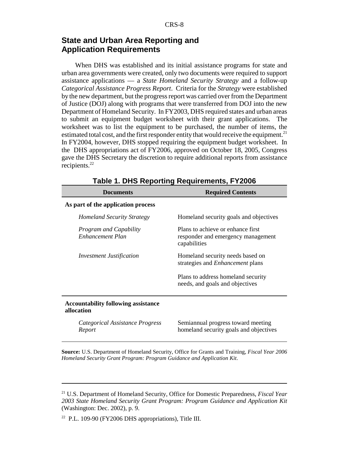#### **State and Urban Area Reporting and Application Requirements**

When DHS was established and its initial assistance programs for state and urban area governments were created, only two documents were required to support assistance applications — a *State Homeland Security Strategy* and a follow-up *Categorical Assistance Progress Report*. Criteria for the *Strategy* were established by the new department, but the progress report was carried over from the Department of Justice (DOJ) along with programs that were transferred from DOJ into the new Department of Homeland Security. In FY2003, DHS required states and urban areas to submit an equipment budget worksheet with their grant applications. The worksheet was to list the equipment to be purchased, the number of items, the estimated total cost, and the first responder entity that would receive the equipment.<sup>21</sup> In FY2004, however, DHS stopped requiring the equipment budget worksheet. In the DHS appropriations act of FY2006, approved on October 18, 2005, Congress gave the DHS Secretary the discretion to require additional reports from assistance recipients.<sup>22</sup>

| <b>Documents</b>                                         | <b>Required Contents</b>                                                                |  |  |  |  |
|----------------------------------------------------------|-----------------------------------------------------------------------------------------|--|--|--|--|
| As part of the application process                       |                                                                                         |  |  |  |  |
| <b>Homeland Security Strategy</b>                        | Homeland security goals and objectives                                                  |  |  |  |  |
| <b>Program and Capability</b><br>Enhancement Plan        | Plans to achieve or enhance first<br>responder and emergency management<br>capabilities |  |  |  |  |
| <b>Investment Justification</b>                          | Homeland security needs based on<br>strategies and <i>Enhancement</i> plans             |  |  |  |  |
|                                                          | Plans to address homeland security<br>needs, and goals and objectives                   |  |  |  |  |
| <b>Accountability following assistance</b><br>allocation |                                                                                         |  |  |  |  |
| Categorical Assistance Progress<br>Report                | Semiannual progress toward meeting<br>homeland security goals and objectives            |  |  |  |  |

|  |  |  | Table 1. DHS Reporting Requirements, FY2006 |  |  |
|--|--|--|---------------------------------------------|--|--|
|--|--|--|---------------------------------------------|--|--|

**Source:** U.S. Department of Homeland Security, Office for Grants and Training, *Fiscal Year 2006 Homeland Security Grant Program: Program Guidance and Application Kit*.

<sup>21</sup> U.S. Department of Homeland Security, Office for Domestic Preparedness, *Fiscal Year 2003 State Homeland Security Grant Program: Program Guidance and Application Kit* (Washington: Dec. 2002), p. 9.

 $22$  P.L. 109-90 (FY2006 DHS appropriations), Title III.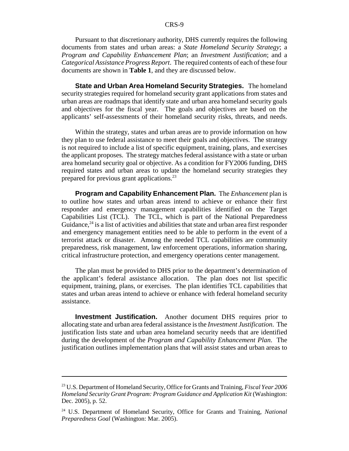Pursuant to that discretionary authority, DHS currently requires the following documents from states and urban areas: a *State Homeland Security Strategy*; a *Program and Capability Enhancement Plan*; an *Investment Justification*; and a *Categorical Assistance Progress Report*. The required contents of each of these four documents are shown in **Table 1**, and they are discussed below.

**State and Urban Area Homeland Security Strategies.** The homeland security strategies required for homeland security grant applications from states and urban areas are roadmaps that identify state and urban area homeland security goals and objectives for the fiscal year. The goals and objectives are based on the applicants' self-assessments of their homeland security risks, threats, and needs.

Within the strategy, states and urban areas are to provide information on how they plan to use federal assistance to meet their goals and objectives. The strategy is not required to include a list of specific equipment, training, plans, and exercises the applicant proposes. The strategy matches federal assistance with a state or urban area homeland security goal or objective. As a condition for FY2006 funding, DHS required states and urban areas to update the homeland security strategies they prepared for previous grant applications.23

**Program and Capability Enhancement Plan.** The *Enhancement* plan is to outline how states and urban areas intend to achieve or enhance their first responder and emergency management capabilities identified on the Target Capabilities List (TCL). The TCL, which is part of the National Preparedness Guidance,  $24$  is a list of activities and abilities that state and urban area first responder and emergency management entities need to be able to perform in the event of a terrorist attack or disaster. Among the needed TCL capabilities are community preparedness, risk management, law enforcement operations, information sharing, critical infrastructure protection, and emergency operations center management.

The plan must be provided to DHS prior to the department's determination of the applicant's federal assistance allocation. The plan does not list specific equipment, training, plans, or exercises. The plan identifies TCL capabilities that states and urban areas intend to achieve or enhance with federal homeland security assistance.

**Investment Justification.** Another document DHS requires prior to allocating state and urban area federal assistance is the *Investment Justification*. The justification lists state and urban area homeland security needs that are identified during the development of the *Program and Capability Enhancement Plan*. The justification outlines implementation plans that will assist states and urban areas to

<sup>23</sup> U.S. Department of Homeland Security, Office for Grants and Training, *Fiscal Year 2006 Homeland Security Grant Program: Program Guidance and Application Kit* (Washington: Dec. 2005), p. 52.

<sup>24</sup> U.S. Department of Homeland Security, Office for Grants and Training, *National Preparedness Goal* (Washington: Mar. 2005).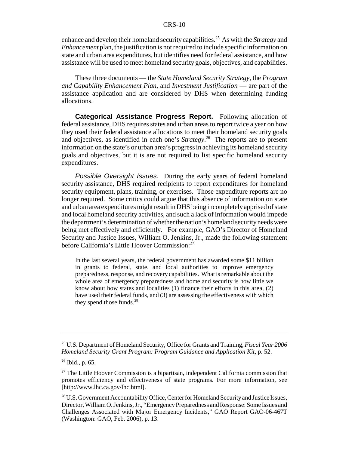enhance and develop their homeland security capabilities.25 As with the *Strategy* and *Enhancement* plan, the justification is not required to include specific information on state and urban area expenditures, but identifies need for federal assistance, and how assistance will be used to meet homeland security goals, objectives, and capabilities.

These three documents — the *State Homeland Security Strategy*, the *Program and Capability Enhancement Plan*, and *Investment Justification* — are part of the assistance application and are considered by DHS when determining funding allocations.

**Categorical Assistance Progress Report.** Following allocation of federal assistance, DHS requires states and urban areas to report twice a year on how they used their federal assistance allocations to meet their homeland security goals and objectives, as identified in each one's *Strategy*. 26 The reports are to present information on the state's or urban area's progress in achieving its homeland security goals and objectives, but it is are not required to list specific homeland security expenditures.

*Possible Oversight Issues.* During the early years of federal homeland security assistance, DHS required recipients to report expenditures for homeland security equipment, plans, training, or exercises. Those expenditure reports are no longer required. Some critics could argue that this absence of information on state and urban area expenditures might result in DHS being incompletely apprised of state and local homeland security activities, and such a lack of information would impede the department's determination of whether the nation's homeland security needs were being met effectively and efficiently. For example, GAO's Director of Homeland Security and Justice Issues, William O. Jenkins, Jr., made the following statement before California's Little Hoover Commission:<sup>27</sup>

In the last several years, the federal government has awarded some \$11 billion in grants to federal, state, and local authorities to improve emergency preparedness, response, and recovery capabilities. What is remarkable about the whole area of emergency preparedness and homeland security is how little we know about how states and localities (1) finance their efforts in this area, (2) have used their federal funds, and (3) are assessing the effectiveness with which they spend those funds.<sup>28</sup>

<sup>25</sup> U.S. Department of Homeland Security, Office for Grants and Training, *Fiscal Year 2006 Homeland Security Grant Program: Program Guidance and Application Kit*, p. 52.

 $26$  Ibid., p. 65.

 $27$  The Little Hoover Commission is a bipartisan, independent California commission that promotes efficiency and effectiveness of state programs. For more information, see [http://www.lhc.ca.gov/lhc.html].

<sup>&</sup>lt;sup>28</sup> U.S. Government Accountability Office, Center for Homeland Security and Justice Issues, Director, William O. Jenkins, Jr., "Emergency Preparedness and Response: Some Issues and Challenges Associated with Major Emergency Incidents," GAO Report GAO-06-467T (Washington: GAO, Feb. 2006), p. 13.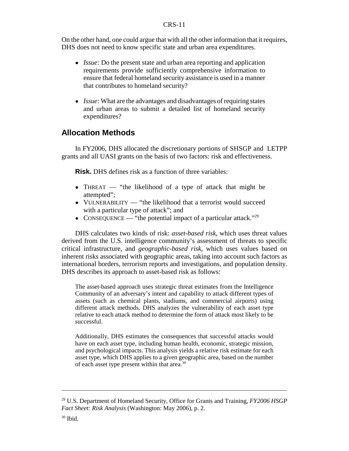On the other hand, one could argue that with all the other information that it requires, DHS does not need to know specific state and urban area expenditures.

- *Issue:* Do the present state and urban area reporting and application requirements provide sufficiently comprehensive information to ensure that federal homeland security assistance is used in a manner that contributes to homeland security?
- *Issue:* What are the advantages and disadvantages of requiring states and urban areas to submit a detailed list of homeland security expenditures?

#### **Allocation Methods**

In FY2006, DHS allocated the discretionary portions of SHSGP and LETPP grants and all UASI grants on the basis of two factors: risk and effectiveness.

**Risk.** DHS defines risk as a function of three variables:

- THREAT "the likelihood of a type of attack that might be attempted";
- VULNERABILITY "the likelihood that a terrorist would succeed with a particular type of attack"; and
- CONSEQUENCE "the potential impact of a particular attack."<sup>29</sup>

DHS calculates two kinds of risk: *asset-based risk*, which uses threat values derived from the U.S. intelligence community's assessment of threats to specific critical infrastructure, and *geographic-based risk*, which uses values based on inherent risks associated with geographic areas, taking into account such factors as international borders, terrorism reports and investigations, and population density. DHS describes its approach to asset-based risk as follows:

The asset-based approach uses strategic threat estimates from the Intelligence Community of an adversary's intent and capability to attack different types of assets (such as chemical plants, stadiums, and commercial airports) using different attack methods. DHS analyzes the vulnerability of each asset type relative to each attack method to determine the form of attack most likely to be successful.

Additionally, DHS estimates the consequences that successful attacks would have on each asset type, including human health, economic, strategic mission, and psychological impacts. This analysis yields a relative risk estimate for each asset type, which DHS applies to a given geographic area, based on the number of each asset type present within that area.30

<sup>29</sup> U.S. Department of Homeland Security, Office for Grants and Training, *FY2006 HSGP Fact Sheet: Risk Analysis* (Washington: May 2006), p. 2.

 $30$  Ibid.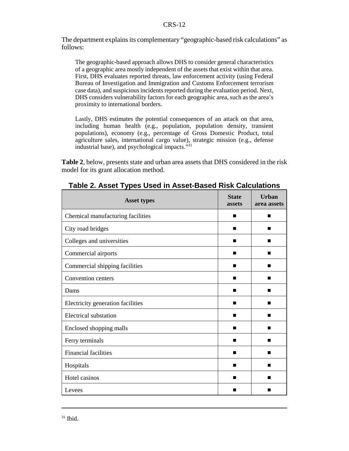The department explains its complementary "geographic-based risk calculations" as follows:

The geographic-based approach allows DHS to consider general characteristics of a geographic area mostly independent of the assets that exist within that area. First, DHS evaluates reported threats, law enforcement activity (using Federal Bureau of Investigation and Immigration and Customs Enforcement terrorism case data), and suspicious incidents reported during the evaluation period. Next, DHS considers vulnerability factors for each geographic area, such as the area's proximity to international borders.

Lastly, DHS estimates the potential consequences of an attack on that area, including human health (e.g., population, population density, transient populations), economy (e.g., percentage of Gross Domestic Product, total agriculture sales, international cargo value), strategic mission (e.g., defense industrial base), and psychological impacts."31

**Table 2**, below, presents state and urban area assets that DHS considered in the risk model for its grant allocation method.

| <b>Asset types</b>                | <b>State</b><br>assets | <b>Urban</b><br>area assets |
|-----------------------------------|------------------------|-----------------------------|
| Chemical manufacturing facilities | ■                      | ■                           |
| City road bridges                 | ■                      | ■                           |
| Colleges and universities         | ■                      | ■                           |
| Commercial airports               | ■                      | ■                           |
| Commercial shipping facilities    | ■                      | ■                           |
| Convention centers                | ■                      | ■                           |
| Dams                              | ■                      | ■                           |
| Electricity generation facilities | ■                      | ■                           |
| <b>Electrical substation</b>      | ■                      | ■                           |
| Enclosed shopping malls           | ■                      | ■                           |
| Ferry terminals                   | ■                      | ■                           |
| <b>Financial facilities</b>       | ■                      | ■                           |
| Hospitals                         |                        | ■                           |
| Hotel casinos                     | ٠                      | ■                           |
| Levees                            |                        | ■                           |

| Table 2. Asset Types Used in Asset-Based Risk Calculations |
|------------------------------------------------------------|
|------------------------------------------------------------|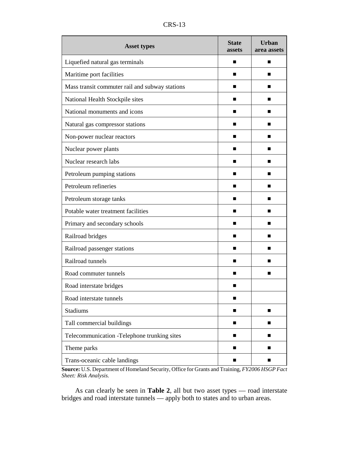|                                                | <b>State</b> | Urban       |
|------------------------------------------------|--------------|-------------|
| <b>Asset types</b>                             | assets       | area assets |
| Liquefied natural gas terminals                | ■            | ■           |
| Maritime port facilities                       | ■            | ■           |
| Mass transit commuter rail and subway stations |              |             |
| National Health Stockpile sites                | ■            | ■           |
| National monuments and icons                   |              |             |
| Natural gas compressor stations                | ■            | ■           |
| Non-power nuclear reactors                     | ■            | ■           |
| Nuclear power plants                           |              |             |
| Nuclear research labs                          | ■            | ■           |
| Petroleum pumping stations                     | ■            | ш           |
| Petroleum refineries                           | ■            | ш           |
| Petroleum storage tanks                        | ■            | ■           |
| Potable water treatment facilities             | ■            | ■           |
| Primary and secondary schools                  | ■            |             |
| Railroad bridges                               | ■            | ■           |
| Railroad passenger stations                    |              | ■           |
| Railroad tunnels                               | ■            | ■           |
| Road commuter tunnels                          | ■            | ■           |
| Road interstate bridges                        |              |             |
| Road interstate tunnels                        | п            |             |
| <b>Stadiums</b>                                | ■            | ■           |
| Tall commercial buildings                      | ■            |             |
| Telecommunication -Telephone trunking sites    | ■            | ■           |
| Theme parks                                    | ■            | ■           |
| Trans-oceanic cable landings                   | п            | п           |

**Source:** U.S. Department of Homeland Security, Office for Grants and Training, *FY2006 HSGP Fact Sheet: Risk Analysis.*

As can clearly be seen in **Table 2**, all but two asset types — road interstate bridges and road interstate tunnels — apply both to states and to urban areas.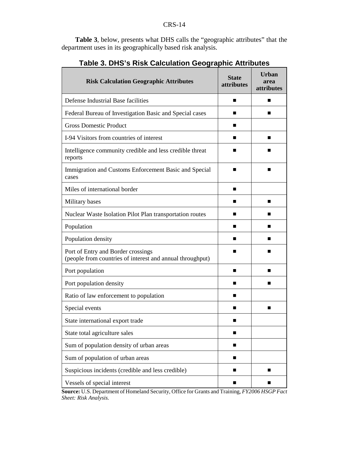**Table 3**, below, presents what DHS calls the "geographic attributes" that the department uses in its geographically based risk analysis.

| <b>Risk Calculation Geographic Attributes</b>                                                   | <b>State</b><br>attributes | Urban<br>area<br>attributes |
|-------------------------------------------------------------------------------------------------|----------------------------|-----------------------------|
| Defense Industrial Base facilities                                                              | ■                          | ■                           |
| Federal Bureau of Investigation Basic and Special cases                                         |                            | ■                           |
| <b>Gross Domestic Product</b>                                                                   | ■                          |                             |
| I-94 Visitors from countries of interest                                                        | ■                          | ■                           |
| Intelligence community credible and less credible threat<br>reports                             |                            |                             |
| Immigration and Customs Enforcement Basic and Special<br>cases                                  | ■                          | ■                           |
| Miles of international border                                                                   | ■                          |                             |
| Military bases                                                                                  | ■                          | ■                           |
| Nuclear Waste Isolation Pilot Plan transportation routes                                        | ■                          | ■                           |
| Population                                                                                      | ■                          | ■                           |
| Population density                                                                              | ■                          |                             |
| Port of Entry and Border crossings<br>(people from countries of interest and annual throughput) |                            |                             |
| Port population                                                                                 | ■                          | ■                           |
| Port population density                                                                         | ■                          | ■                           |
| Ratio of law enforcement to population                                                          | ■                          |                             |
| Special events                                                                                  | ▄                          | ■                           |
| State international export trade                                                                |                            |                             |
| State total agriculture sales                                                                   | ■                          |                             |
| Sum of population density of urban areas                                                        | ■                          |                             |
| Sum of population of urban areas                                                                | ■                          |                             |
| Suspicious incidents (credible and less credible)                                               | ■                          | ■                           |
| Vessels of special interest                                                                     | ■                          |                             |

## **Table 3. DHS's Risk Calculation Geographic Attributes**

**Source:** U.S. Department of Homeland Security, Office for Grants and Training, *FY2006 HSGP Fact Sheet: Risk Analysis.*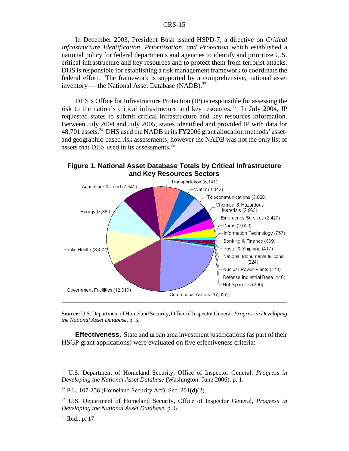In December 2003, President Bush issued HSPD-7, a directive on *Critical Infrastructure Identification, Prioritization, and Protection* which established a national policy for federal departments and agencies to identify and prioritize U.S. critical infrastructure and key resources and to protect them from terrorist attacks. DHS is responsible for establishing a risk management framework to coordinate the federal effort. The framework is supported by a comprehensive, national asset inventory — the National Asset Database  $(NADB)^{32}$ 

DHS's Office for Infrastructure Protection (IP) is responsible for assessing the risk to the nation's critical infrastructure and key resources.<sup>33</sup> In July 2004, IP requested states to submit critical infrastructure and key resources information. Between July 2004 and July 2005, states identified and provided IP with data for 48,701 assets.<sup>34</sup> DHS used the NADB in its FY2006 grant allocation methods' assetand geographic-based risk assessments; however the NADB was not the only list of assets that DHS used in its assessments.35

**Figure 1. National Asset Database Totals by Critical Infrastructure and Key Resources Sectors**



**Source:** U.S. Department of Homeland Security, Office of Inspector General, *Progress in Developing the National Asset Database*, p. 5.

**Effectiveness.** State and urban area investment justifications (as part of their HSGP grant applications) were evaluated on five effectiveness criteria:

<sup>32</sup> U.S. Department of Homeland Security, Office of Inspector General, *Progress in Developing the National Asset Database* (Washington: June 2006), p. 1.

<sup>33</sup> P.L. 107-256 (Homeland Security Act), Sec. 201(d)(2).

<sup>34</sup> U.S. Department of Homeland Security, Office of Inspector General, *Progress in Developing the National Asset Database*, p. 6.

<sup>35</sup> Ibid., p. 17.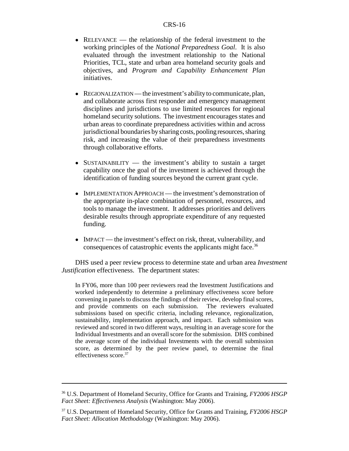- RELEVANCE the relationship of the federal investment to the working principles of the *National Preparedness Goal*. It is also evaluated through the investment relationship to the National Priorities, TCL, state and urban area homeland security goals and objectives, and *Program and Capability Enhancement Plan* initiatives.
- REGIONALIZATION the investment's ability to communicate, plan, and collaborate across first responder and emergency management disciplines and jurisdictions to use limited resources for regional homeland security solutions. The investment encourages states and urban areas to coordinate preparedness activities within and across jurisdictional boundaries by sharing costs, pooling resources, sharing risk, and increasing the value of their preparedness investments through collaborative efforts.
- SUSTAINABILITY the investment's ability to sustain a target capability once the goal of the investment is achieved through the identification of funding sources beyond the current grant cycle.
- IMPLEMENTATION APPROACH the investment's demonstration of the appropriate in-place combination of personnel, resources, and tools to manage the investment. It addresses priorities and delivers desirable results through appropriate expenditure of any requested funding.
- IMPACT the investment's effect on risk, threat, vulnerability, and consequences of catastrophic events the applicants might face.<sup>36</sup>

DHS used a peer review process to determine state and urban area *Investment Justification* effectiveness. The department states:

In FY06, more than 100 peer reviewers read the Investment Justifications and worked independently to determine a preliminary effectiveness score before convening in panels to discuss the findings of their review, develop final scores, and provide comments on each submission. The reviewers evaluated submissions based on specific criteria, including relevance, regionalization, sustainability, implementation approach, and impact. Each submission was reviewed and scored in two different ways, resulting in an average score for the Individual Investments and an overall score for the submission. DHS combined the average score of the individual Investments with the overall submission score, as determined by the peer review panel, to determine the final effectiveness score.37

<sup>36</sup> U.S. Department of Homeland Security, Office for Grants and Training, *FY2006 HSGP Fact Sheet: Effectiveness Analysis* (Washington: May 2006).

<sup>37</sup> U.S. Department of Homeland Security, Office for Grants and Training, *FY2006 HSGP Fact Sheet: Allocation Methodology* (Washington: May 2006).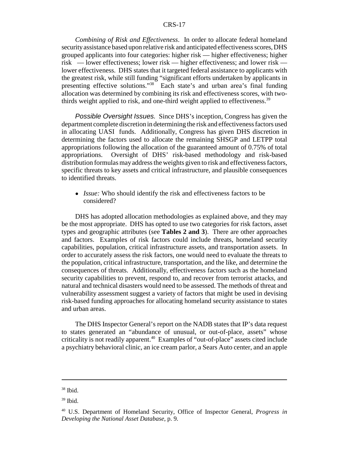*Combining of Risk and Effectiveness*. In order to allocate federal homeland security assistance based upon relative risk and anticipated effectiveness scores, DHS grouped applicants into four categories: higher risk — higher effectiveness; higher risk — lower effectiveness; lower risk — higher effectiveness; and lower risk lower effectiveness. DHS states that it targeted federal assistance to applicants with the greatest risk, while still funding "significant efforts undertaken by applicants in presenting effective solutions."38 Each state's and urban area's final funding allocation was determined by combining its risk and effectiveness scores, with twothirds weight applied to risk, and one-third weight applied to effectiveness.<sup>39</sup>

*Possible Oversight Issues.* Since DHS's inception, Congress has given the department complete discretion in determining the risk and effectiveness factors used in allocating UASI funds. Additionally, Congress has given DHS discretion in determining the factors used to allocate the remaining SHSGP and LETPP total appropriations following the allocation of the guaranteed amount of 0.75% of total appropriations. Oversight of DHS' risk-based methodology and risk-based distribution formulas may address the weights given to risk and effectiveness factors, specific threats to key assets and critical infrastructure, and plausible consequences to identified threats.

• *Issue:* Who should identify the risk and effectiveness factors to be considered?

DHS has adopted allocation methodologies as explained above, and they may be the most appropriate. DHS has opted to use two categories for risk factors, asset types and geographic attributes (see **Tables 2 and 3**). There are other approaches and factors. Examples of risk factors could include threats, homeland security capabilities, population, critical infrastructure assets, and transportation assets. In order to accurately assess the risk factors, one would need to evaluate the threats to the population, critical infrastructure, transportation, and the like, and determine the consequences of threats. Additionally, effectiveness factors such as the homeland security capabilities to prevent, respond to, and recover from terrorist attacks, and natural and technical disasters would need to be assessed. The methods of threat and vulnerability assessment suggest a variety of factors that might be used in devising risk-based funding approaches for allocating homeland security assistance to states and urban areas.

The DHS Inspector General's report on the NADB states that IP's data request to states generated an "abundance of unusual, or out-of-place, assets" whose criticality is not readily apparent.<sup>40</sup> Examples of "out-of-place" assets cited include a psychiatry behavioral clinic, an ice cream parlor, a Sears Auto center, and an apple

<sup>38</sup> Ibid.

 $39$  Ibid.

<sup>40</sup> U.S. Department of Homeland Security, Office of Inspector General, *Progress in Developing the National Asset Database*, p. 9.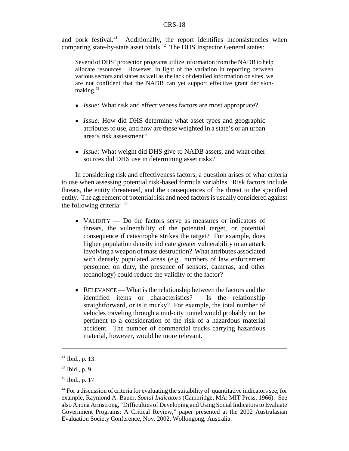and pork festival.<sup>41</sup> Additionally, the report identifies inconsistencies when comparing state-by-state asset totals.<sup>42</sup> The DHS Inspector General states:

Several of DHS' protection programs utilize information from the NADB to help allocate resources. However, in light of the variation in reporting between various sectors and states as well as the lack of detailed information on sites, we are not confident that the NADB can yet support effective grant decisionmaking.43

- ! *Issue:* What risk and effectiveness factors are most appropriate?
- *Issue:* How did DHS determine what asset types and geographic attributes to use, and how are these weighted in a state's or an urban area's risk assessment?
- ! *Issue:* What weight did DHS give to NADB assets, and what other sources did DHS use in determining asset risks?

In considering risk and effectiveness factors, a question arises of what criteria to use when assessing potential risk-based formula variables. Risk factors include threats, the entity threatened, and the consequences of the threat to the specified entity. The agreement of potential risk and need factors is usually considered against the following criteria: 44

- VALIDITY Do the factors serve as measures or indicators of threats, the vulnerability of the potential target, or potential consequence if catastrophe strikes the target? For example, does higher population density indicate greater vulnerability to an attack involving a weapon of mass destruction? What attributes associated with densely populated areas (e.g., numbers of law enforcement personnel on duty, the presence of sensors, cameras, and other technology) could reduce the validity of the factor?
- RELEVANCE What is the relationship between the factors and the identified items or characteristics? Is the relationship straightforward, or is it murky? For example, the total number of vehicles traveling through a mid-city tunnel would probably not be pertinent to a consideration of the risk of a hazardous material accident. The number of commercial trucks carrying hazardous material, however, would be more relevant.

 $41$  Ibid., p. 13.

 $42$  Ibid., p. 9.

 $43$  Ibid., p. 17.

<sup>44</sup> For a discussion of criteria for evaluating the suitability of quantitative indicators see, for example, Raymond A. Bauer, *Social Indicators* (Cambridge, MA: MIT Press, 1966). See also Anona Armstrong, "Difficulties of Developing and Using Social Indicators to Evaluate Government Programs: A Critical Review," paper presented at the 2002 Australasian Evaluation Society Conference, Nov. 2002, Wollongong, Australia.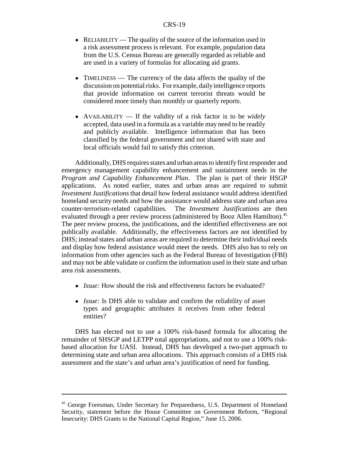- RELIABILITY The quality of the source of the information used in a risk assessment process is relevant. For example, population data from the U.S. Census Bureau are generally regarded as reliable and are used in a variety of formulas for allocating aid grants.
- TIMELINESS The currency of the data affects the quality of the discussion on potential risks. For example, daily intelligence reports that provide information on current terrorist threats would be considered more timely than monthly or quarterly reports.
- ! AVAILABILITY If the validity of a risk factor is to be *widely* accepted, data used in a formula as a variable may need to be readily and publicly available. Intelligence information that has been classified by the federal government and not shared with state and local officials would fail to satisfy this criterion.

Additionally, DHS requires states and urban areas to identify first responder and emergency management capability enhancement and sustainment needs in the *Program and Capability Enhancement Plan*. The plan is part of their HSGP applications. As noted earlier, states and urban areas are required to submit *Investment Justifications* that detail how federal assistance would address identified homeland security needs and how the assistance would address state and urban area counter-terrorism-related capabilities. The *Investment Justifications* are then evaluated through a peer review process (administered by Booz Allen Hamilton).<sup>45</sup> The peer review process, the justifications, and the identified effectiveness are not publically available. Additionally, the effectiveness factors are not identified by DHS; instead states and urban areas are required to determine their individual needs and display how federal assistance would meet the needs. DHS also has to rely on information from other agencies such as the Federal Bureau of Investigation (FBI) and may not be able validate or confirm the information used in their state and urban area risk assessments.

- ! *Issue:* How should the risk and effectiveness factors be evaluated?
- *Issue:* Is DHS able to validate and confirm the reliability of asset types and geographic attributes it receives from other federal entities?

DHS has elected not to use a 100% risk-based formula for allocating the remainder of SHSGP and LETPP total appropriations, and not to use a 100% riskbased allocation for UASI. Instead, DHS has developed a two-part approach to determining state and urban area allocations. This approach consists of a DHS risk assessment and the state's and urban area's justification of need for funding.

<sup>45</sup> George Foresman, Under Secretary for Preparedness, U.S. Department of Homeland Security, statement before the House Committee on Government Reform, "Regional Insecurity: DHS Grants to the National Capital Region," June 15, 2006.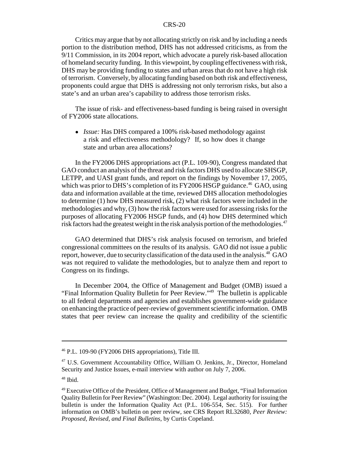Critics may argue that by not allocating strictly on risk and by including a needs portion to the distribution method, DHS has not addressed criticisms, as from the 9/11 Commission, in its 2004 report, which advocate a purely risk-based allocation of homeland security funding. In this viewpoint, by coupling effectiveness with risk, DHS may be providing funding to states and urban areas that do not have a high risk of terrorism. Conversely, by allocating funding based on both risk and effectiveness, proponents could argue that DHS is addressing not only terrorism risks, but also a state's and an urban area's capability to address those terrorism risks.

The issue of risk- and effectiveness-based funding is being raised in oversight of FY2006 state allocations.

! *Issue:* Has DHS compared a 100% risk-based methodology against a risk and effectiveness methodology? If, so how does it change state and urban area allocations?

In the FY2006 DHS appropriations act (P.L. 109-90), Congress mandated that GAO conduct an analysis of the threat and risk factors DHS used to allocate SHSGP, LETPP, and UASI grant funds, and report on the findings by November 17, 2005, which was prior to DHS's completion of its FY2006 HSGP guidance.<sup>46</sup> GAO, using data and information available at the time, reviewed DHS allocation methodologies to determine (1) how DHS measured risk, (2) what risk factors were included in the methodologies and why, (3) how the risk factors were used for assessing risks for the purposes of allocating FY2006 HSGP funds, and (4) how DHS determined which risk factors had the greatest weight in the risk analysis portion of the methodologies.<sup>47</sup>

GAO determined that DHS's risk analysis focused on terrorism, and briefed congressional committees on the results of its analysis. GAO did not issue a public report, however, due to security classification of the data used in the analysis.<sup>48</sup> GAO was not required to validate the methodologies, but to analyze them and report to Congress on its findings.

In December 2004, the Office of Management and Budget (OMB) issued a "Final Information Quality Bulletin for Peer Review."49 The bulletin is applicable to all federal departments and agencies and establishes government-wide guidance on enhancing the practice of peer-review of government scientific information. OMB states that peer review can increase the quality and credibility of the scientific

<sup>46</sup> P.L. 109-90 (FY2006 DHS appropriations), Title III.

<sup>47</sup> U.S. Government Accountability Office, William O. Jenkins, Jr., Director, Homeland Security and Justice Issues, e-mail interview with author on July 7, 2006.

 $48$  Ibid.

<sup>&</sup>lt;sup>49</sup> Executive Office of the President, Office of Management and Budget, "Final Information Quality Bulletin for Peer Review" (Washington: Dec. 2004). Legal authority for issuing the bulletin is under the Information Quality Act (P.L. 106-554, Sec. 515). For further information on OMB's bulletin on peer review, see CRS Report RL32680, *Peer Review: Proposed, Revised, and Final Bulletins*, by Curtis Copeland.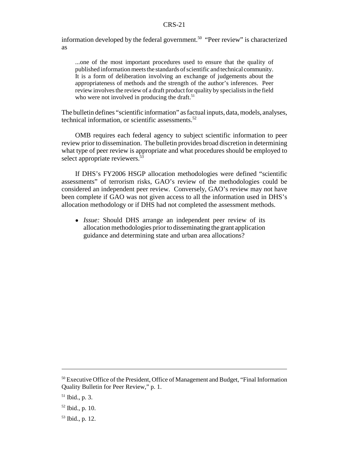information developed by the federal government.<sup>50</sup> "Peer review" is characterized as

...one of the most important procedures used to ensure that the quality of published information meets the standards of scientific and technical community. It is a form of deliberation involving an exchange of judgements about the appropriateness of methods and the strength of the author's inferences. Peer review involves the review of a draft product for quality by specialists in the field who were not involved in producing the draft.<sup>51</sup>

The bulletin defines "scientific information" as factual inputs, data, models, analyses, technical information, or scientific assessments. $52$ 

OMB requires each federal agency to subject scientific information to peer review prior to dissemination. The bulletin provides broad discretion in determining what type of peer review is appropriate and what procedures should be employed to select appropriate reviewers.<sup>53</sup>

If DHS's FY2006 HSGP allocation methodologies were defined "scientific assessments" of terrorism risks, GAO's review of the methodologies could be considered an independent peer review. Conversely, GAO's review may not have been complete if GAO was not given access to all the information used in DHS's allocation methodology or if DHS had not completed the assessment methods.

• *Issue:* Should DHS arrange an independent peer review of its allocation methodologies prior to disseminating the grant application guidance and determining state and urban area allocations?

<sup>&</sup>lt;sup>50</sup> Executive Office of the President, Office of Management and Budget, "Final Information" Quality Bulletin for Peer Review," p. 1.

 $51$  Ibid., p. 3.

<sup>52</sup> Ibid., p. 10.

<sup>53</sup> Ibid., p. 12.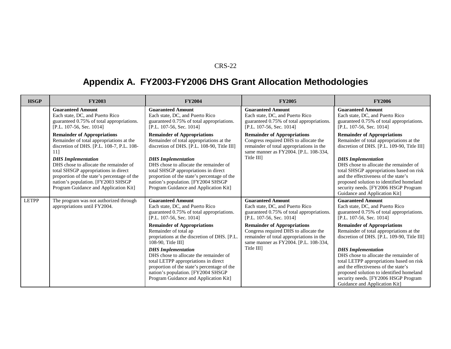# **Appendix A. FY2003-FY2006 DHS Grant Allocation Methodologies**

| <b>HSGP</b>  | <b>FY2003</b>                                                                                                                                                                                             | <b>FY2004</b>                                                                                                                                                                                                                             | <b>FY2005</b>                                                                                                                                                                 | <b>FY2006</b>                                                                                                                                                                                                                                                                 |
|--------------|-----------------------------------------------------------------------------------------------------------------------------------------------------------------------------------------------------------|-------------------------------------------------------------------------------------------------------------------------------------------------------------------------------------------------------------------------------------------|-------------------------------------------------------------------------------------------------------------------------------------------------------------------------------|-------------------------------------------------------------------------------------------------------------------------------------------------------------------------------------------------------------------------------------------------------------------------------|
|              | <b>Guaranteed Amount</b><br>Each state, DC, and Puerto Rico<br>guaranteed 0.75% of total appropriations.<br>[P.L. 107-56, Sec. 1014]                                                                      | <b>Guaranteed Amount</b><br>Each state, DC, and Puerto Rico<br>guaranteed 0.75% of total appropriations.<br>[P.L. 107-56, Sec. 1014]                                                                                                      | <b>Guaranteed Amount</b><br>Each state, DC, and Puerto Rico<br>guaranteed 0.75% of total appropriations.<br>[P.L. 107-56, Sec. 1014]                                          | <b>Guaranteed Amount</b><br>Each state, DC, and Puerto Rico<br>guaranteed 0.75% of total appropriations.<br>[P.L. 107-56, Sec. 1014]                                                                                                                                          |
|              | <b>Remainder of Appropriations</b><br>Remainder of total appropriations at the<br>discretion of DHS. [P.L. 108-7, P.L. 108-<br>11]<br><b>DHS</b> Implementation<br>DHS chose to allocate the remainder of | <b>Remainder of Appropriations</b><br>Remainder of total appropriations at the<br>discretion of DHS. [P.L. 108-90, Title III]<br><b>DHS</b> Implementation<br>DHS chose to allocate the remainder of                                      | <b>Remainder of Appropriations</b><br>Congress required DHS to allocate the<br>remainder of total appropriations in the<br>same manner as FY2004. [P.L. 108-334,<br>Title III | <b>Remainder of Appropriations</b><br>Remainder of total appropriations at the<br>discretion of DHS. [P.L. 109-90, Title III]<br><b>DHS</b> Implementation<br>DHS chose to allocate the remainder of                                                                          |
|              | total SHSGP appropriations in direct<br>proportion of the state's percentage of the<br>nation's population. [FY2003 SHSGP<br>Program Guidance and Application Kit]                                        | total SHSGP appropriations in direct<br>proportion of the state's percentage of the<br>nation's population. [FY2004 SHSGP<br>Program Guidance and Application Kit]                                                                        |                                                                                                                                                                               | total SHSGP appropriations based on risk<br>and the effectiveness of the state's<br>proposed solution to identified homeland<br>security needs. [FY2006 HSGP Program]<br>Guidance and Application Kit]                                                                        |
| <b>LETPP</b> | The program was not authorized through<br>appropriations until FY2004.                                                                                                                                    | <b>Guaranteed Amount</b><br>Each state, DC, and Puerto Rico<br>guaranteed 0.75% of total appropriations.<br>[P.L. 107-56, Sec. 1014]                                                                                                      | <b>Guaranteed Amount</b><br>Each state, DC, and Puerto Rico<br>guaranteed 0.75% of total appropriations.<br>[P.L. 107-56, Sec. 1014]                                          | <b>Guaranteed Amount</b><br>Each state, DC, and Puerto Rico<br>guaranteed 0.75% of total appropriations.<br>[P.L. 107-56, Sec. 1014]                                                                                                                                          |
|              |                                                                                                                                                                                                           | <b>Remainder of Appropriations</b><br>Remainder of total ap<br>propriations at the discretion of DHS. [P.L.]<br>$108-90$ , Title III                                                                                                      | <b>Remainder of Appropriations</b><br>Congress required DHS to allocate the<br>remainder of total appropriations in the<br>same manner as FY2004. [P.L. 108-334,              | <b>Remainder of Appropriations</b><br>Remainder of total appropriations at the<br>discretion of DHS. [P.L. 109-90, Title III]                                                                                                                                                 |
|              |                                                                                                                                                                                                           | <b>DHS</b> Implementation<br>DHS chose to allocate the remainder of<br>total LETPP appropriations in direct<br>proportion of the state's percentage of the<br>nation's population. [FY2004 SHSGP<br>Program Guidance and Application Kit] | Title III                                                                                                                                                                     | <b>DHS</b> Implementation<br>DHS chose to allocate the remainder of<br>total LETPP appropriations based on risk<br>and the effectiveness of the state's<br>proposed solution to identified homeland<br>security needs. [FY2006 HSGP Program]<br>Guidance and Application Kit] |